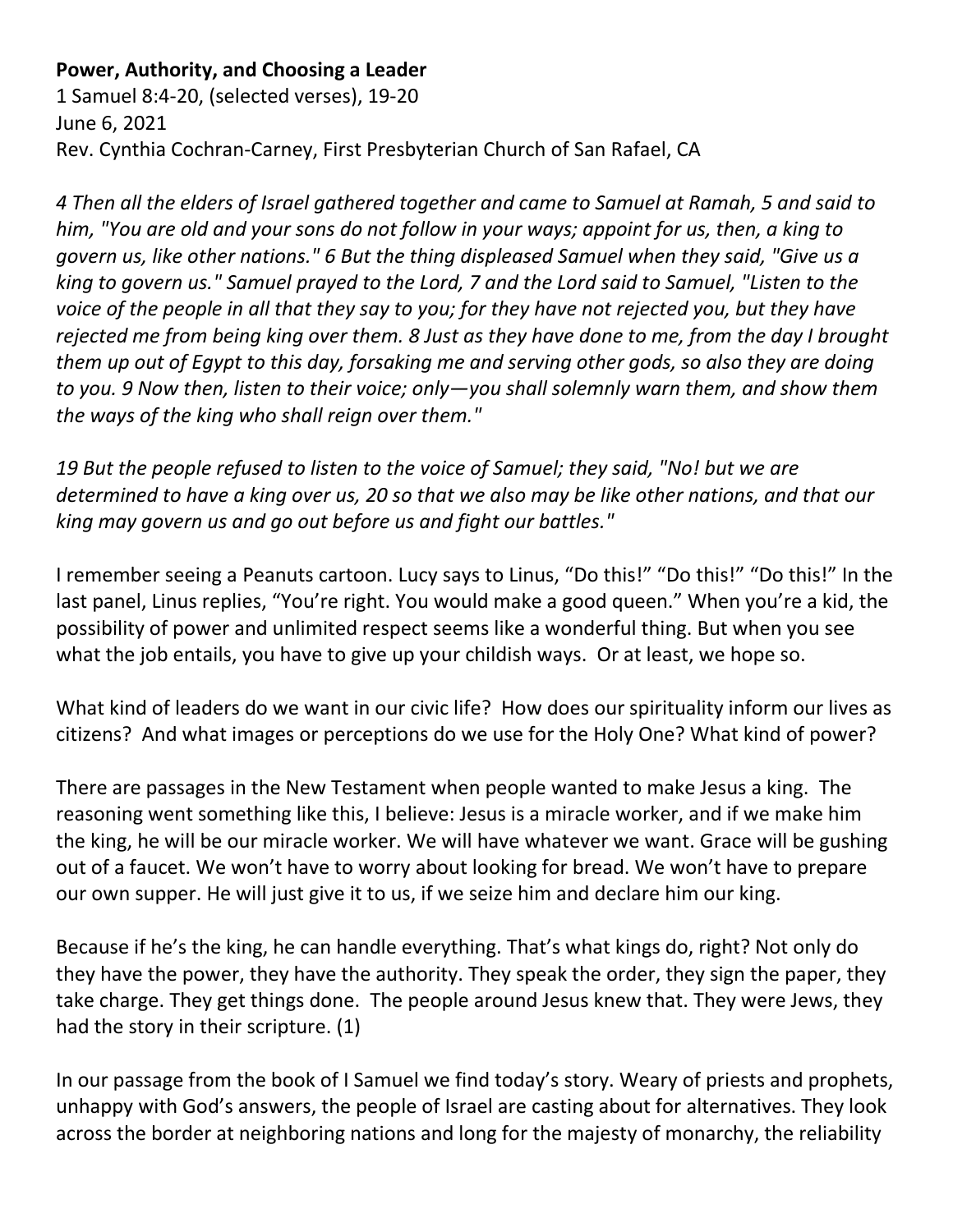## **Power, Authority, and Choosing a Leader**

1 Samuel 8:4-20, (selected verses), 19-20 June 6, 2021 Rev. Cynthia Cochran-Carney, First Presbyterian Church of San Rafael, CA

*4 Then all the elders of Israel gathered together and came to Samuel at Ramah, 5 and said to him, "You are old and your sons do not follow in your ways; appoint for us, then, a king to govern us, like other nations." 6 But the thing displeased Samuel when they said, "Give us a king to govern us." Samuel prayed to the Lord, 7 and the Lord said to Samuel, "Listen to the voice of the people in all that they say to you; for they have not rejected you, but they have rejected me from being king over them. 8 Just as they have done to me, from the day I brought them up out of Egypt to this day, forsaking me and serving other gods, so also they are doing to you. 9 Now then, listen to their voice; only—you shall solemnly warn them, and show them the ways of the king who shall reign over them."*

*19 But the people refused to listen to the voice of Samuel; they said, "No! but we are determined to have a king over us, 20 so that we also may be like other nations, and that our king may govern us and go out before us and fight our battles."*

I remember seeing a Peanuts cartoon. Lucy says to Linus, "Do this!" "Do this!" "Do this!" In the last panel, Linus replies, "You're right. You would make a good queen." When you're a kid, the possibility of power and unlimited respect seems like a wonderful thing. But when you see what the job entails, you have to give up your childish ways. Or at least, we hope so.

What kind of leaders do we want in our civic life? How does our spirituality inform our lives as citizens? And what images or perceptions do we use for the Holy One? What kind of power?

There are passages in the New Testament when people wanted to make Jesus a king. The reasoning went something like this, I believe: Jesus is a miracle worker, and if we make him the king, he will be our miracle worker. We will have whatever we want. Grace will be gushing out of a faucet. We won't have to worry about looking for bread. We won't have to prepare our own supper. He will just give it to us, if we seize him and declare him our king.

Because if he's the king, he can handle everything. That's what kings do, right? Not only do they have the power, they have the authority. They speak the order, they sign the paper, they take charge. They get things done. The people around Jesus knew that. They were Jews, they had the story in their scripture. (1)

In our passage from the book of I Samuel we find today's story. Weary of priests and prophets, unhappy with God's answers, the people of Israel are casting about for alternatives. They look across the border at neighboring nations and long for the majesty of monarchy, the reliability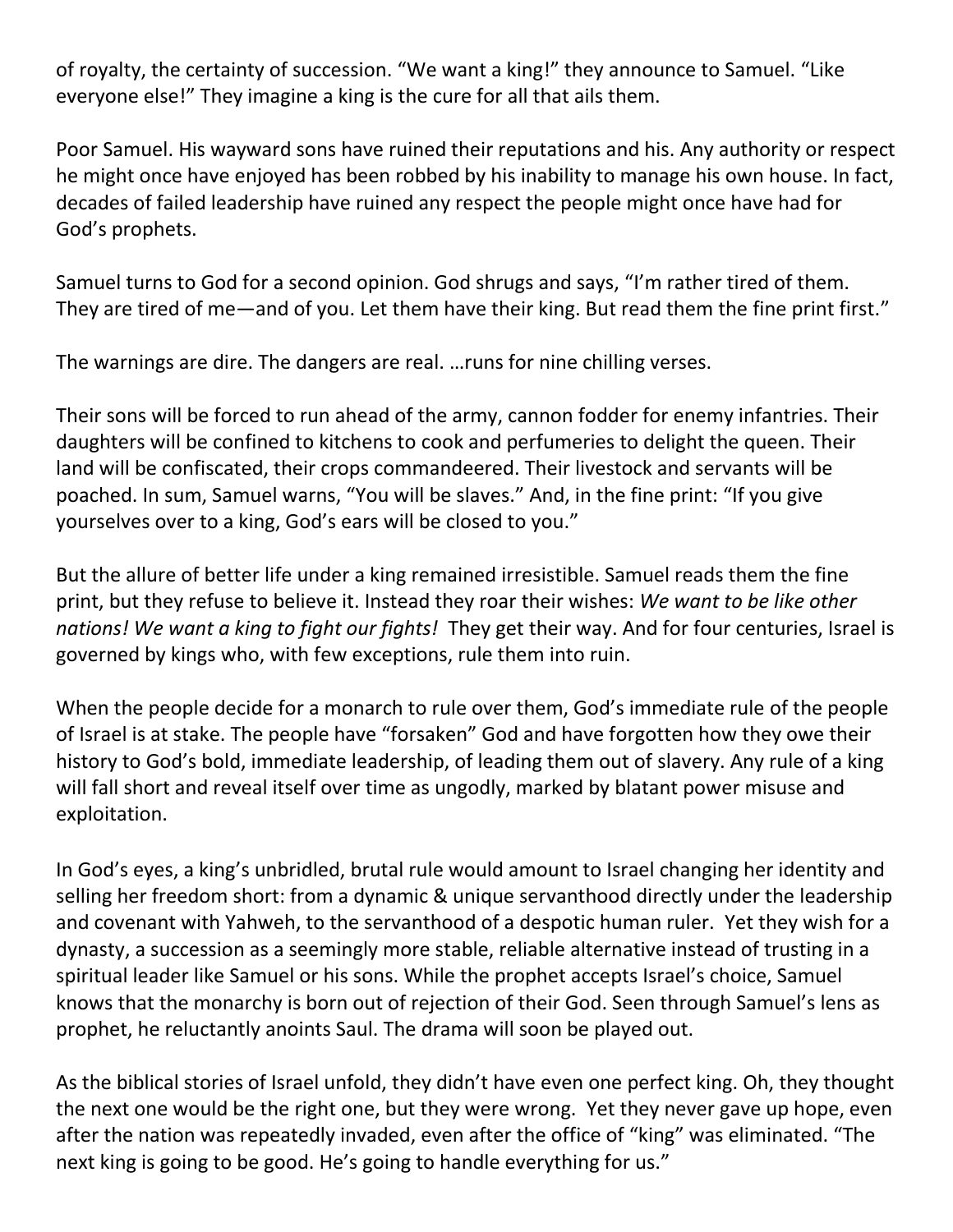of royalty, the certainty of succession. "We want a king!" they announce to Samuel. "Like everyone else!" They imagine a king is the cure for all that ails them.

Poor Samuel. His wayward sons have ruined their reputations and his. Any authority or respect he might once have enjoyed has been robbed by his inability to manage his own house. In fact, decades of failed leadership have ruined any respect the people might once have had for God's prophets.

Samuel turns to God for a second opinion. God shrugs and says, "I'm rather tired of them. They are tired of me—and of you. Let them have their king. But read them the fine print first."

The warnings are dire. The dangers are real. …runs for nine chilling verses.

Their sons will be forced to run ahead of the army, cannon fodder for enemy infantries. Their daughters will be confined to kitchens to cook and perfumeries to delight the queen. Their land will be confiscated, their crops commandeered. Their livestock and servants will be poached. In sum, Samuel warns, "You will be slaves." And, in the fine print: "If you give yourselves over to a king, God's ears will be closed to you."

But the allure of better life under a king remained irresistible. Samuel reads them the fine print, but they refuse to believe it. Instead they roar their wishes: *We want to be like other nations! We want a king to fight our fights!* They get their way. And for four centuries, Israel is governed by kings who, with few exceptions, rule them into ruin.

When the people decide for a monarch to rule over them, God's immediate rule of the people of Israel is at stake. The people have "forsaken" God and have forgotten how they owe their history to God's bold, immediate leadership, of leading them out of slavery. Any rule of a king will fall short and reveal itself over time as ungodly, marked by blatant power misuse and exploitation.

In God's eyes, a king's unbridled, brutal rule would amount to Israel changing her identity and selling her freedom short: from a dynamic & unique servanthood directly under the leadership and covenant with Yahweh, to the servanthood of a despotic human ruler. Yet they wish for a dynasty, a succession as a seemingly more stable, reliable alternative instead of trusting in a spiritual leader like Samuel or his sons. While the prophet accepts Israel's choice, Samuel knows that the monarchy is born out of rejection of their God. Seen through Samuel's lens as prophet, he reluctantly anoints Saul. The drama will soon be played out.

As the biblical stories of Israel unfold, they didn't have even one perfect king. Oh, they thought the next one would be the right one, but they were wrong. Yet they never gave up hope, even after the nation was repeatedly invaded, even after the office of "king" was eliminated. "The next king is going to be good. He's going to handle everything for us."